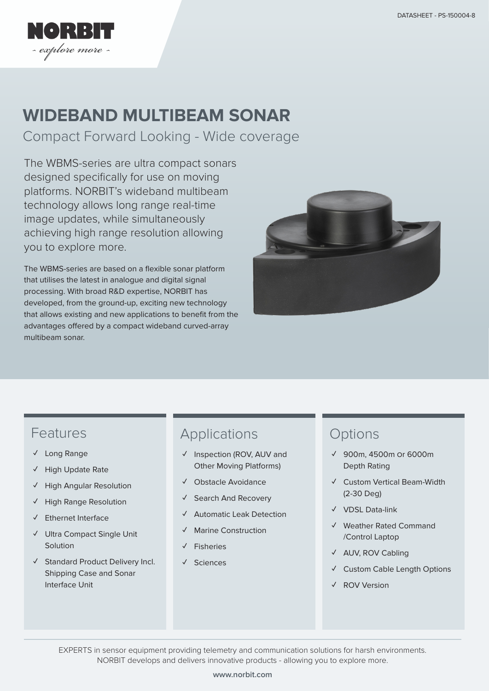

# **WIDEBAND MULTIBEAM SONAR**

Compact Forward Looking - Wide coverage

The WBMS-series are ultra compact sonars designed specifically for use on moving platforms. NORBIT's wideband multibeam technology allows long range real-time image updates, while simultaneously achieving high range resolution allowing you to explore more.

The WBMS-series are based on a flexible sonar platform that utilises the latest in analogue and digital signal processing. With broad R&D expertise, NORBIT has developed, from the ground-up, exciting new technology that allows existing and new applications to benefit from the advantages offered by a compact wideband curved-array multibeam sonar.



#### Features

- **✓** Long Range
- **✓** High Update Rate
- **High Angular Resolution**
- **✓** High Range Resolution
- **✓** Ethernet Interface
- **✓** Ultra Compact Single Unit Solution
- **✓** Standard Product Delivery Incl. Shipping Case and Sonar Interface Unit

### Applications

- **✓** Inspection (ROV, AUV and Other Moving Platforms)
- **✓** Obstacle Avoidance
- **✓** Search And Recovery
- **✓** Automatic Leak Detection
- **Marine Construction**
- **✓** Fisheries
- **✓** Sciences

#### **Options**

- **✓** 900m, 4500m Or 6000m Depth Rating
- **✓** Custom Vertical Beam-Width (2-30 Deg)
- **✓** VDSL Data-link
- **✓** Weather Rated Command /Control Laptop
- **✓** AUV, ROV Cabling
- **✓** Custom Cable Length Options
- **✓** ROV Version

EXPERTS in sensor equipment providing telemetry and communication solutions for harsh environments. NORBIT develops and delivers innovative products - allowing you to explore more.

#### **www.norbit.com**